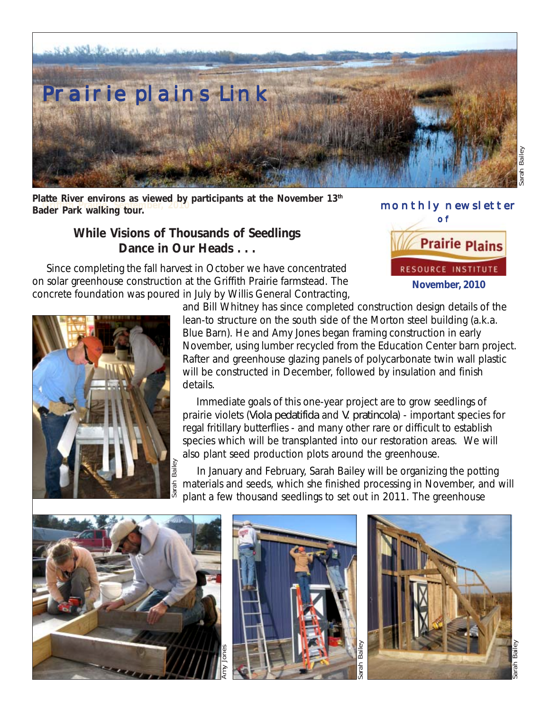

**Griffith Prairie, September, 2010 Bader Park walking tour.** Platte River environs as viewed by participants at the November 13<sup>th</sup>

> **While Visions of Thousands of Seedlings Dance in Our Heads . . .**

 Since completing the fall harvest in October we have concentrated on solar greenhouse construction at the Griffith Prairie farmstead. The concrete foundation was poured in July by Willis General Contracting,





and Bill Whitney has since completed construction design details of the lean-to structure on the south side of the Morton steel building (a.k.a. Blue Barn). He and Amy Jones began framing construction in early November, using lumber recycled from the Education Center barn project. Rafter and greenhouse glazing panels of polycarbonate twin wall plastic will be constructed in December, followed by insulation and finish details.

 Immediate goals of this one-year project are to grow seedlings of prairie violets (*Viola pedatifida* and *V. pratincola*) - important species for regal fritillary butterflies - and many other rare or difficult to establish species which will be transplanted into our restoration areas. We will also plant seed production plots around the greenhouse.

 In January and February, Sarah Bailey will be organizing the potting materials and seeds, which she finished processing in November, and will plant a few thousand seedlings to set out in 2011. The greenhouse